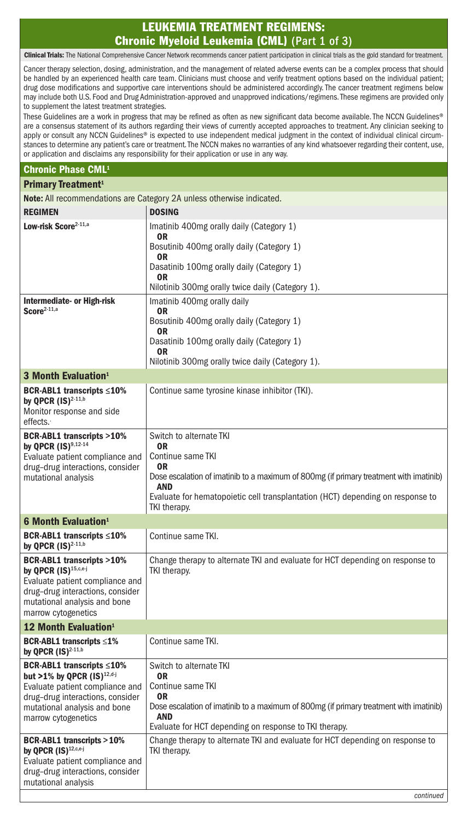# LEUKEMIA TREATMENT REGIMENS: Chronic Myeloid Leukemia (CML) (Part 1 of 3)

Clinical Trials: The National Comprehensive Cancer Network recommends cancer patient participation in clinical trials as the gold standard for treatment.

Cancer therapy selection, dosing, administration, and the management of related adverse events can be a complex process that should be handled by an experienced health care team. Clinicians must choose and verify treatment options based on the individual patient; drug dose modifications and supportive care interventions should be administered accordingly. The cancer treatment regimens below may include both U.S. Food and Drug Administration-approved and unapproved indications/regimens. These regimens are provided only to supplement the latest treatment strategies.

These Guidelines are a work in progress that may be refined as often as new significant data become available. The NCCN Guidelines® are a consensus statement of its authors regarding their views of currently accepted approaches to treatment. Any clinician seeking to apply or consult any NCCN Guidelines® is expected to use independent medical judgment in the context of individual clinical circumstances to determine any patient's care or treatment. The NCCN makes no warranties of any kind whatsoever regarding their content, use, or application and disclaims any responsibility for their application or use in any way.

#### Chronic Phase CML1

### Primary Treatment<sup>1</sup>

Note: All recommendations are Category 2A unless otherwise indicated.

|                                                                              | $\sigma$<br><b>DOSING</b>                                                                            |
|------------------------------------------------------------------------------|------------------------------------------------------------------------------------------------------|
| <b>REGIMEN</b><br>Low-risk Score <sup>2-11,a</sup>                           |                                                                                                      |
|                                                                              | Imatinib 400mg orally daily (Category 1)<br>0R                                                       |
|                                                                              | Bosutinib 400mg orally daily (Category 1)                                                            |
|                                                                              | 0R<br>Dasatinib 100mg orally daily (Category 1)                                                      |
|                                                                              | 0R                                                                                                   |
|                                                                              | Nilotinib 300mg orally twice daily (Category 1).                                                     |
| Intermediate- or High-risk<br>$Score2-11,a$                                  | Imatinib 400mg orally daily<br>0R                                                                    |
|                                                                              | Bosutinib 400mg orally daily (Category 1)<br>0R                                                      |
|                                                                              | Dasatinib 100mg orally daily (Category 1)                                                            |
|                                                                              | 0R<br>Nilotinib 300mg orally twice daily (Category 1).                                               |
| 3 Month Evaluation <sup>1</sup>                                              |                                                                                                      |
| BCR-ABL1 transcripts ≤10%                                                    | Continue same tyrosine kinase inhibitor (TKI).                                                       |
| by QPCR $(IS)^{2-11,b}$                                                      |                                                                                                      |
| Monitor response and side<br>effects.                                        |                                                                                                      |
| <b>BCR-ABL1 transcripts &gt;10%</b>                                          | Switch to alternate TKI                                                                              |
| by QPCR $(IS)^{9,12 \cdot 14}$                                               | 0R                                                                                                   |
| Evaluate patient compliance and<br>drug-drug interactions, consider          | Continue same TKI<br>0R                                                                              |
| mutational analysis                                                          | Dose escalation of imatinib to a maximum of 800mg (if primary treatment with imatinib)<br><b>AND</b> |
|                                                                              | Evaluate for hematopoietic cell transplantation (HCT) depending on response to                       |
|                                                                              | TKI therapy.                                                                                         |
| 6 Month Evaluation <sup>1</sup>                                              |                                                                                                      |
| BCR-ABL1 transcripts ≤10%<br>by QPCR $(IS)^{2\cdot 11,b}$                    | Continue same TKI.                                                                                   |
| <b>BCR-ABL1 transcripts &gt;10%</b><br>by QPCR (IS) <sup>15,c,e-j</sup>      | Change therapy to alternate TKI and evaluate for HCT depending on response to<br>TKI therapy.        |
| Evaluate patient compliance and                                              |                                                                                                      |
| drug-drug interactions, consider                                             |                                                                                                      |
| mutational analysis and bone<br>marrow cytogenetics                          |                                                                                                      |
| <b>12 Month Evaluation</b> <sup>1</sup>                                      |                                                                                                      |
| <b>BCR-ABL1 transcripts <math>\leq 1\%</math></b><br>by QPCR $(IS)^{2-11,b}$ | Continue same TKI.                                                                                   |
| BCR-ABL1 transcripts ≤10%                                                    | Switch to alternate TKI                                                                              |
| but >1% by QPCR $(1S)^{12,d-j}$<br>Evaluate patient compliance and           | 0R<br>Continue same TKI                                                                              |
| drug-drug interactions, consider                                             | 0R                                                                                                   |
| mutational analysis and bone<br>marrow cytogenetics                          | Dose escalation of imatinib to a maximum of 800mg (if primary treatment with imatinib)<br><b>AND</b> |
|                                                                              | Evaluate for HCT depending on response to TKI therapy.                                               |
| <b>BCR-ABL1 transcripts &gt; 10%</b><br>by QPCR (IS) <sup>12,c,e-j</sup>     | Change therapy to alternate TKI and evaluate for HCT depending on response to<br>TKI therapy.        |
| Evaluate patient compliance and                                              |                                                                                                      |
| drug-drug interactions, consider                                             |                                                                                                      |
| mutational analysis                                                          | continued                                                                                            |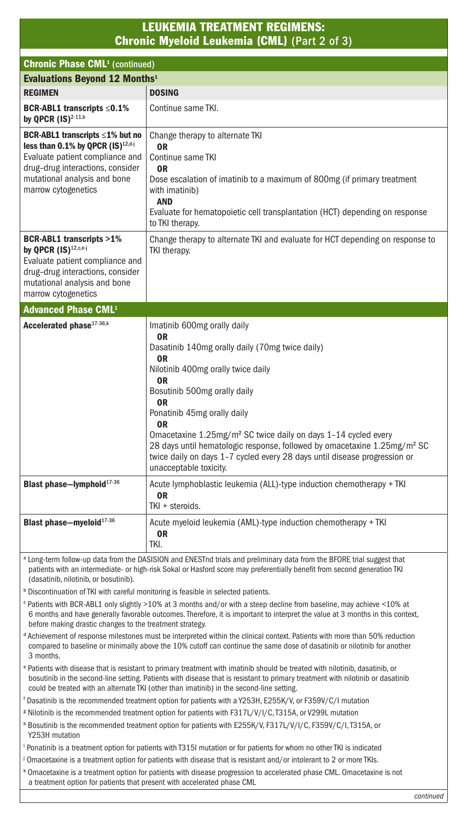## LEUKEMIA TREATMENT REGIMENS: Chronic Myeloid Leukemia (CML) (Part 2 of 3)

| <b>Chronic Phase CML<sup>1</sup></b> (continued)                                                                                                                                                                                                                                                                                                                                                                                                                                               |  |
|------------------------------------------------------------------------------------------------------------------------------------------------------------------------------------------------------------------------------------------------------------------------------------------------------------------------------------------------------------------------------------------------------------------------------------------------------------------------------------------------|--|
| <b>Evaluations Beyond 12 Months</b> <sup>1</sup>                                                                                                                                                                                                                                                                                                                                                                                                                                               |  |
| <b>DOSING</b>                                                                                                                                                                                                                                                                                                                                                                                                                                                                                  |  |
| Continue same TKI.                                                                                                                                                                                                                                                                                                                                                                                                                                                                             |  |
| Change therapy to alternate TKI<br>0R<br>Continue same TKI<br>0R<br>Dose escalation of imatinib to a maximum of 800mg (if primary treatment<br>with imatinib)<br><b>AND</b><br>Evaluate for hematopoietic cell transplantation (HCT) depending on response<br>to TKI therapy.                                                                                                                                                                                                                  |  |
| Change therapy to alternate TKI and evaluate for HCT depending on response to<br>TKI therapy.                                                                                                                                                                                                                                                                                                                                                                                                  |  |
| <b>Advanced Phase CML<sup>1</sup></b>                                                                                                                                                                                                                                                                                                                                                                                                                                                          |  |
| Imatinib 600mg orally daily<br>0R<br>Dasatinib 140mg orally daily (70mg twice daily)<br>0R<br>Nilotinib 400mg orally twice daily<br>0R<br>Bosutinib 500mg orally daily<br>0R<br>Ponatinib 45mg orally daily<br>0R<br>Omacetaxine 1.25mg/m <sup>2</sup> SC twice daily on days 1-14 cycled every<br>28 days until hematologic response, followed by omacetaxine 1.25mg/m <sup>2</sup> SC<br>twice daily on days 1-7 cycled every 28 days until disease progression or<br>unacceptable toxicity. |  |
| Acute lymphoblastic leukemia (ALL)-type induction chemotherapy + TKI<br>0R<br>TKI + steroids.                                                                                                                                                                                                                                                                                                                                                                                                  |  |
| Acute myeloid leukemia (AML)-type induction chemotherapy + TKI<br>0R<br>TKI.                                                                                                                                                                                                                                                                                                                                                                                                                   |  |
| a Long-term follow-up data from the DASISION and ENESTnd trials and preliminary data from the BFORE trial suggest that<br>patients with an intermediate- or high-risk Sokal or Hasford score may preferentially benefit from second generation TKI<br>(dasatinib, nilotinib, or bosutinib).                                                                                                                                                                                                    |  |
| <sup>b</sup> Discontinuation of TKI with careful monitoring is feasible in selected patients.                                                                                                                                                                                                                                                                                                                                                                                                  |  |
| <sup>e</sup> Patients with BCR-ABL1 only slightly >10% at 3 months and/or with a steep decline from baseline, may achieve <10% at<br>6 months and have generally favorable outcomes. Therefore, it is important to interpret the value at 3 months in this context,<br>before making drastic changes to the treatment strategy.<br>Achievement of reconnee milectones must be interpreted within the clinical context. Patients with more than 50% reduction                                   |  |
|                                                                                                                                                                                                                                                                                                                                                                                                                                                                                                |  |

 Achievement of response milestones must be interpreted within the clinical context. Patients with more than 50% reduction compared to baseline or minimally above the 10% cutoff can continue the same dose of dasatinib or nilotinib for another 3 months.

- e Patients with disease that is resistant to primary treatment with imatinib should be treated with nilotinib, dasatinib, or bosutinib in the second-line setting. Patients with disease that is resistant to primary treatment with nilotinib or dasatinib could be treated with an alternate TKI (other than imatinib) in the second-line setting.
- f Dasatinib is the recommended treatment option for patients with a Y253H, E255K/V, or F359V/C/I mutation
- g Nilotinib is the recommended treatment option for patients with F317L/V/I/C, T315A, or V299L mutation
- h Bosutinib is the recommended treatment option for patients with E255K/V, F317L/V/I/C, F359V/C/I, T315A, or Y253H mutation
- i Ponatinib is a treatment option for patients with T315I mutation or for patients for whom no other TKI is indicated
- j Omacetaxine is a treatment option for patients with disease that is resistant and/or intolerant to 2 or more TKIs.
- k Omacetaxine is a treatment option for patients with disease progression to accelerated phase CML. Omacetaxine is not a treatment option for patients that present with accelerated phase CML